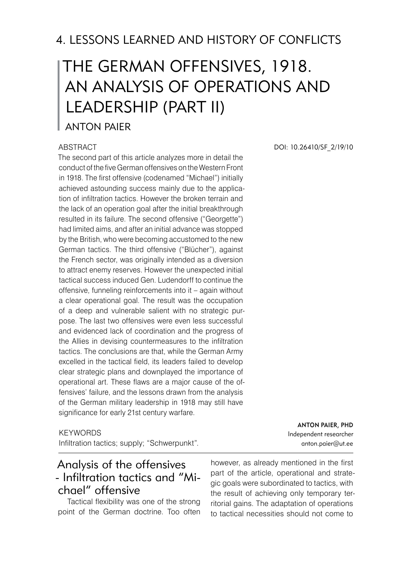# The German Offensives, 1918. An Analysis of Operations and Leadership (part II)

Anton Paier

#### ABSTRACT

The second part of this article analyzes more in detail the conduct of the five German offensives on the Western Front in 1918. The first offensive (codenamed "Michael") initially achieved astounding success mainly due to the application of infiltration tactics. However the broken terrain and the lack of an operation goal after the initial breakthrough resulted in its failure. The second offensive ("Georgette") had limited aims, and after an initial advance was stopped by the British, who were becoming accustomed to the new German tactics. The third offensive ("Blücher"), against the French sector, was originally intended as a diversion to attract enemy reserves. However the unexpected initial tactical success induced Gen. Ludendorff to continue the offensive, funneling reinforcements into it – again without a clear operational goal. The result was the occupation of a deep and vulnerable salient with no strategic purpose. The last two offensives were even less successful and evidenced lack of coordination and the progress of the Allies in devising countermeasures to the infiltration tactics. The conclusions are that, while the German Army excelled in the tactical field, its leaders failed to develop clear strategic plans and downplayed the importance of operational art. These flaws are a major cause of the offensives' failure, and the lessons drawn from the analysis of the German military leadership in 1918 may still have significance for early 21st century warfare.

#### **KEYWORDS**

Infiltration tactics; supply; "Schwerpunkt".

## Analysis of the offensives - Infiltration tactics and "Michael" offensive

 Tactical flexibility was one of the strong point of the German doctrine. Too often

however, as already mentioned in the first part of the article, operational and strategic goals were subordinated to tactics, with the result of achieving only temporary territorial gains. The adaptation of operations to tactical necessities should not come to

DOI: 10.26410/SF\_2/19/10

Anton Paier, PhD Independent researcher anton.paier@ut.ee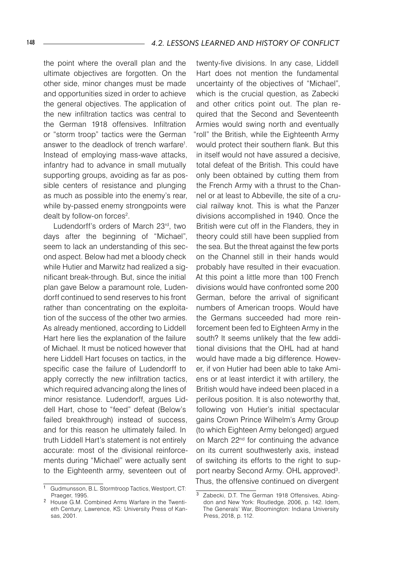the point where the overall plan and the ultimate objectives are forgotten. On the other side, minor changes must be made and opportunities sized in order to achieve the general objectives. The application of the new infiltration tactics was central to the German 1918 offensives. Infiltration or "storm troop" tactics were the German answer to the deadlock of trench warfare<sup>1</sup>. Instead of employing mass-wave attacks, infantry had to advance in small mutually supporting groups, avoiding as far as possible centers of resistance and plunging as much as possible into the enemy's rear, while by-passed enemy strongpoints were dealt by follow-on forces<sup>2</sup>.

 Ludendorff's orders of March 23rd, two days after the beginning of "Michael", seem to lack an understanding of this second aspect. Below had met a bloody check while Hutier and Marwitz had realized a significant break-through. But, since the initial plan gave Below a paramount role, Ludendorff continued to send reserves to his front rather than concentrating on the exploitation of the success of the other two armies. As already mentioned, according to Liddell Hart here lies the explanation of the failure of Michael. It must be noticed however that here Liddell Hart focuses on tactics, in the specific case the failure of Ludendorff to apply correctly the new infiltration tactics, which required advancing along the lines of minor resistance. Ludendorff, argues Liddell Hart, chose to "feed" defeat (Below's failed breakthrough) instead of success, and for this reason he ultimately failed. In truth Liddell Hart's statement is not entirely accurate: most of the divisional reinforcements during "Michael" were actually sent to the Eighteenth army, seventeen out of

twenty-five divisions. In any case, Liddell Hart does not mention the fundamental uncertainty of the objectives of "Michael", which is the crucial question, as Zabecki and other critics point out. The plan required that the Second and Seventeenth Armies would swing north and eventually "roll" the British, while the Eighteenth Army would protect their southern flank. But this in itself would not have assured a decisive, total defeat of the British. This could have only been obtained by cutting them from the French Army with a thrust to the Channel or at least to Abbeville, the site of a crucial railway knot. This is what the Panzer divisions accomplished in 1940. Once the British were cut off in the Flanders, they in theory could still have been supplied from the sea. But the threat against the few ports on the Channel still in their hands would probably have resulted in their evacuation. At this point a little more than 100 French divisions would have confronted some 200 German, before the arrival of significant numbers of American troops. Would have the Germans succeeded had more reinforcement been fed to Eighteen Army in the south? It seems unlikely that the few additional divisions that the OHL had at hand would have made a big difference. However, if von Hutier had been able to take Amiens or at least interdict it with artillery, the British would have indeed been placed in a perilous position. It is also noteworthy that, following von Hutier's initial spectacular gains Crown Prince Wilhelm's Army Group (to which Eighteen Army belonged) argued on March 22<sup>nd</sup> for continuing the advance on its current southwesterly axis, instead of switching its efforts to the right to support nearby Second Army. OHL approved<sup>3</sup>. Thus, the offensive continued on divergent

 Gudmunsson, B.L. Stormtroop Tactics, Westport, CT: Praeger, 1995.

 House G.M. Combined Arms Warfare in the Twentieth Century, Lawrence, KS: University Press of Kansas, 2001.

Zabecki, D.T. The German 1918 Offensives, Abingdon and New York: Routledge, 2006, p. 142. Idem, The Generals' War, Bloomington: Indiana University Press, 2018, p. 112.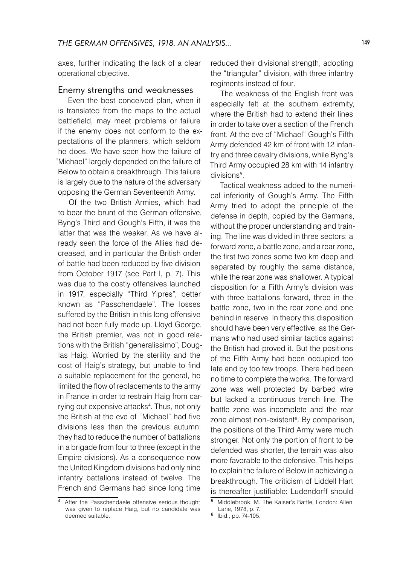axes, further indicating the lack of a clear operational objective.

#### Enemy strengths and weaknesses

 Even the best conceived plan, when it is translated from the maps to the actual battlefield, may meet problems or failure if the enemy does not conform to the expectations of the planners, which seldom he does. We have seen how the failure of "Michael" largely depended on the failure of Below to obtain a breakthrough. This failure is largely due to the nature of the adversary opposing the German Seventeenth Army.

 Of the two British Armies, which had to bear the brunt of the German offensive, Byng's Third and Gough's Fifth, it was the latter that was the weaker. As we have already seen the force of the Allies had decreased, and in particular the British order of battle had been reduced by five division from October 1917 (see Part I, p. 7). This was due to the costly offensives launched in 1917, especially "Third Yipres", better known as "Passchendaele". The losses suffered by the British in this long offensive had not been fully made up. Lloyd George, the British premier, was not in good relations with the British "generalissimo", Douglas Haig. Worried by the sterility and the cost of Haig's strategy, but unable to find a suitable replacement for the general, he limited the flow of replacements to the army in France in order to restrain Haig from carrying out expensive attacks<sup>4</sup>. Thus, not only the British at the eve of "Michael" had five divisions less than the previous autumn: they had to reduce the number of battalions in a brigade from four to three (except in the Empire divisions). As a consequence now the United Kingdom divisions had only nine infantry battalions instead of twelve. The French and Germans had since long time

reduced their divisional strength, adopting the "triangular" division, with three infantry regiments instead of four.

 The weakness of the English front was especially felt at the southern extremity, where the British had to extend their lines in order to take over a section of the French front. At the eve of "Michael" Gough's Fifth Army defended 42 km of front with 12 infantry and three cavalry divisions, while Byng's Third Army occupied 28 km with 14 infantry divisions<sup>5</sup>.

 Tactical weakness added to the numerical inferiority of Gough's Army. The Fifth Army tried to adopt the principle of the defense in depth, copied by the Germans, without the proper understanding and training. The line was divided in three sectors: a forward zone, a battle zone, and a rear zone, the first two zones some two km deep and separated by roughly the same distance, while the rear zone was shallower. A typical disposition for a Fifth Army's division was with three battalions forward, three in the battle zone, two in the rear zone and one behind in reserve. In theory this disposition should have been very effective, as the Germans who had used similar tactics against the British had proved it. But the positions of the Fifth Army had been occupied too late and by too few troops. There had been no time to complete the works. The forward zone was well protected by barbed wire but lacked a continuous trench line. The battle zone was incomplete and the rear zone almost non-existent<sup>6</sup>. By comparison, the positions of the Third Army were much stronger. Not only the portion of front to be defended was shorter, the terrain was also more favorable to the defensive. This helps to explain the failure of Below in achieving a breakthrough. The criticism of Liddell Hart is thereafter justifiable: Ludendorff should

<sup>4</sup> After the Passchendaele offensive serious thought was given to replace Haig, but no candidate was deemed suitable.

Middlebrook, M. The Kaiser's Battle, London: Allen Lane, 1978, p. 7.

 $6$  Ibid., pp. 74-105.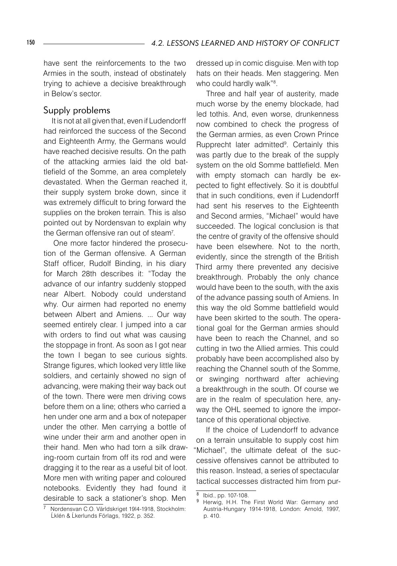have sent the reinforcements to the two Armies in the south, instead of obstinately trying to achieve a decisive breakthrough in Below's sector.

#### Supply problems

 It is not at all given that, even if Ludendorff had reinforced the success of the Second and Eighteenth Army, the Germans would have reached decisive results. On the path of the attacking armies laid the old battlefield of the Somme, an area completely devastated. When the German reached it, their supply system broke down, since it was extremely difficult to bring forward the supplies on the broken terrain. This is also pointed out by Nordensvan to explain why the German offensive ran out of steam<sup>7</sup>.

 One more factor hindered the prosecution of the German offensive. A German Staff officer, Rudolf Binding, in his diary for March 28th describes it: "Today the advance of our infantry suddenly stopped near Albert. Nobody could understand why. Our airmen had reported no enemy between Albert and Amiens. ... Our way seemed entirely clear. I jumped into a car with orders to find out what was causing the stoppage in front. As soon as I got near the town I began to see curious sights. Strange figures, which looked very little like soldiers, and certainly showed no sign of advancing, were making their way back out of the town. There were men driving cows before them on a line; others who carried a hen under one arm and a box of notepaper under the other. Men carrying a bottle of wine under their arm and another open in their hand. Men who had torn a silk drawing-room curtain from off its rod and were dragging it to the rear as a useful bit of loot. More men with writing paper and coloured notebooks. Evidently they had found it desirable to sack a stationer's shop. Men

dressed up in comic disguise. Men with top hats on their heads. Men staggering. Men who could hardly walk"<sup>8</sup>.

 Three and half year of austerity, made much worse by the enemy blockade, had led tothis. And, even worse, drunkenness now combined to check the progress of the German armies, as even Crown Prince Rupprecht later admitted<sup>9</sup>. Certainly this was partly due to the break of the supply system on the old Somme battlefield. Men with empty stomach can hardly be expected to fight effectively. So it is doubtful that in such conditions, even if Ludendorff had sent his reserves to the Eighteenth and Second armies, "Michael" would have succeeded. The logical conclusion is that the centre of gravity of the offensive should have been elsewhere. Not to the north, evidently, since the strength of the British Third army there prevented any decisive breakthrough. Probably the only chance would have been to the south, with the axis of the advance passing south of Amiens. In this way the old Somme battlefield would have been skirted to the south. The operational goal for the German armies should have been to reach the Channel, and so cutting in two the Allied armies. This could probably have been accomplished also by reaching the Channel south of the Somme, or swinging northward after achieving a breakthrough in the south. Of course we are in the realm of speculation here, anyway the OHL seemed to ignore the importance of this operational objective.

 If the choice of Ludendorff to advance on a terrain unsuitable to supply cost him "Michael", the ultimate defeat of the successive offensives cannot be attributed to this reason. Instead, a series of spectacular tactical successes distracted him from pur-

Nordensvan C.O. Världskriget 19l4-1918, Stockholm: Ĺklén & Ĺkerlunds Förlags, 1922, p. 352.

 $\overline{8}$  Ibid., pp. 107-108.

Herwig, H.H. The First World War: Germany and Austria-Hungary 1914-1918, London: Arnold, 1997, p. 410.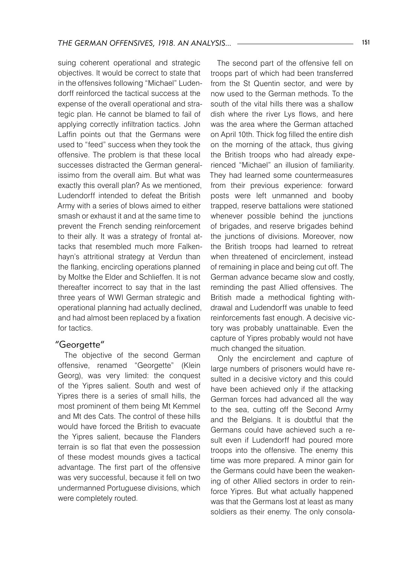suing coherent operational and strategic objectives. It would be correct to state that in the offensives following "Michael" Ludendorff reinforced the tactical success at the expense of the overall operational and strategic plan. He cannot be blamed to fail of applying correctly infiltration tactics. John Laffin points out that the Germans were used to "feed" success when they took the offensive. The problem is that these local successes distracted the German generalissimo from the overall aim. But what was exactly this overall plan? As we mentioned, Ludendorff intended to defeat the British Army with a series of blows aimed to either smash or exhaust it and at the same time to prevent the French sending reinforcement to their ally. It was a strategy of frontal attacks that resembled much more Falkenhayn's attritional strategy at Verdun than the flanking, encircling operations planned by Moltke the Elder and Schlieffen. It is not thereafter incorrect to say that in the last three years of WWI German strategic and operational planning had actually declined, and had almost been replaced by a fixation for tactics.

#### "Georgette"

The objective of the second German offensive, renamed "Georgette" (Klein Georg), was very limited: the conquest of the Yipres salient. South and west of Yipres there is a series of small hills, the most prominent of them being Mt Kemmel and Mt des Cats. The control of these hills would have forced the British to evacuate the Yipres salient, because the Flanders terrain is so flat that even the possession of these modest mounds gives a tactical advantage. The first part of the offensive was very successful, because it fell on two undermanned Portuguese divisions, which were completely routed.

The second part of the offensive fell on troops part of which had been transferred from the St Quentin sector, and were by now used to the German methods. To the south of the vital hills there was a shallow dish where the river Lys flows, and here was the area where the German attached on April 10th. Thick fog filled the entire dish on the morning of the attack, thus giving the British troops who had already experienced "Michael" an illusion of familiarity. They had learned some countermeasures from their previous experience: forward posts were left unmanned and booby trapped, reserve battalions were stationed whenever possible behind the junctions of brigades, and reserve brigades behind the junctions of divisions. Moreover, now the British troops had learned to retreat when threatened of encirclement, instead of remaining in place and being cut off. The German advance became slow and costly, reminding the past Allied offensives. The British made a methodical fighting withdrawal and Ludendorff was unable to feed reinforcements fast enough. A decisive victory was probably unattainable. Even the capture of Yipres probably would not have much changed the situation.

Only the encirclement and capture of large numbers of prisoners would have resulted in a decisive victory and this could have been achieved only if the attacking German forces had advanced all the way to the sea, cutting off the Second Army and the Belgians. It is doubtful that the Germans could have achieved such a result even if Ludendorff had poured more troops into the offensive. The enemy this time was more prepared. A minor gain for the Germans could have been the weakening of other Allied sectors in order to reinforce Yipres. But what actually happened was that the Germans lost at least as many soldiers as their enemy. The only consola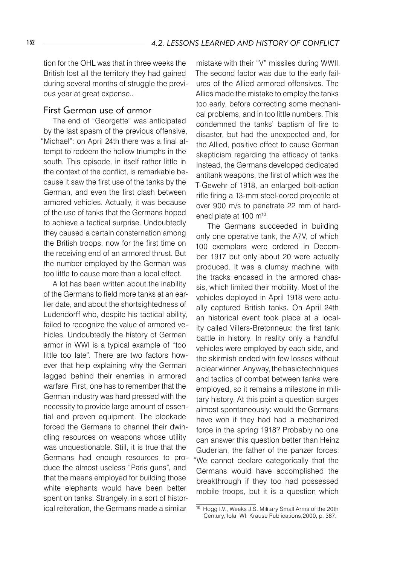tion for the OHL was that in three weeks the British lost all the territory they had gained during several months of struggle the previous year at great expense..

#### First German use of armor

 The end of "Georgette" was anticipated by the last spasm of the previous offensive, "Michael": on April 24th there was a final attempt to redeem the hollow triumphs in the south. This episode, in itself rather little in the context of the conflict, is remarkable because it saw the first use of the tanks by the German, and even the first clash between armored vehicles. Actually, it was because of the use of tanks that the Germans hoped to achieve a tactical surprise. Undoubtedly they caused a certain consternation among the British troops, now for the first time on the receiving end of an armored thrust. But the number employed by the German was too little to cause more than a local effect.

 A lot has been written about the inability of the Germans to field more tanks at an earlier date, and about the shortsightedness of Ludendorff who, despite his tactical ability, failed to recognize the value of armored vehicles. Undoubtedly the history of German armor in WWI is a typical example of "too little too late". There are two factors however that help explaining why the German lagged behind their enemies in armored warfare. First, one has to remember that the German industry was hard pressed with the necessity to provide large amount of essential and proven equipment. The blockade forced the Germans to channel their dwindling resources on weapons whose utility was unquestionable. Still, it is true that the Germans had enough resources to produce the almost useless "Paris guns", and that the means employed for building those white elephants would have been better spent on tanks. Strangely, in a sort of historical reiteration, the Germans made a similar

mistake with their "V" missiles during WWII. The second factor was due to the early failures of the Allied armored offensives. The Allies made the mistake to employ the tanks too early, before correcting some mechanical problems, and in too little numbers. This condemned the tanks' baptism of fire to disaster, but had the unexpected and, for the Allied, positive effect to cause German skepticism regarding the efficacy of tanks. Instead, the Germans developed dedicated antitank weapons, the first of which was the T-Gewehr of 1918, an enlarged bolt-action rifle firing a 13-mm steel-cored projectile at over 900 m/s to penetrate 22 mm of hardened plate at 100 m10.

 The Germans succeeded in building only one operative tank, the A7V, of which 100 exemplars were ordered in December 1917 but only about 20 were actually produced. It was a clumsy machine, with the tracks encased in the armored chassis, which limited their mobility. Most of the vehicles deployed in April 1918 were actually captured British tanks. On April 24th an historical event took place at a locality called Villers-Bretonneux: the first tank battle in history. In reality only a handful vehicles were employed by each side, and the skirmish ended with few losses without a clear winner. Anyway, the basic techniques and tactics of combat between tanks were employed, so it remains a milestone in military history. At this point a question surges almost spontaneously: would the Germans have won if they had had a mechanized force in the spring 1918? Probably no one can answer this question better than Heinz Guderian, the father of the panzer forces: "We cannot declare categorically that the Germans would have accomplished the breakthrough if they too had possessed mobile troops, but it is a question which

<sup>10</sup> Hogg I.V., Weeks J.S. Military Small Arms of the 20th Century, Iola, WI: Krause Publications,2000, p. 387.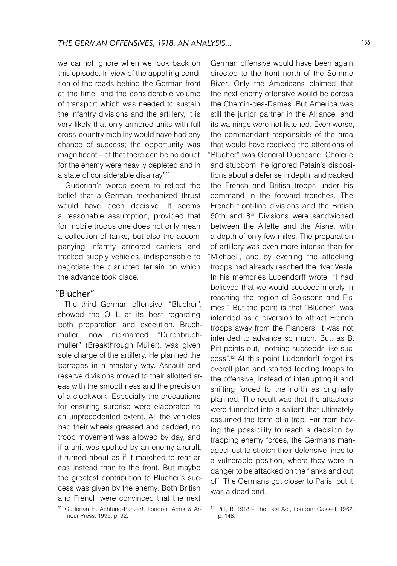we cannot ignore when we look back on this episode. In view of the appalling condition of the roads behind the German front at the time, and the considerable volume of transport which was needed to sustain the infantry divisions and the artillery, it is very likely that only armored units with full cross-country mobility would have had any chance of success; the opportunity was magnificent – of that there can be no doubt, for the enemy were heavily depleted and in a state of considerable disarray"11.

Guderian's words seem to reflect the belief that a German mechanized thrust would have been decisive. It seems a reasonable assumption, provided that for mobile troops one does not only mean a collection of tanks, but also the accompanying infantry armored carriers and tracked supply vehicles, indispensable to negotiate the disrupted terrain on which the advance took place.

#### "Blücher"

The third German offensive, "Blucher", showed the OHL at its best regarding both preparation and execution. Bruchmüller, now nicknamed "Durchbruchmüller" (Breakthrough Müller), was given sole charge of the artillery. He planned the barrages in a masterly way. Assault and reserve divisions moved to their allotted areas with the smoothness and the precision of a clockwork. Especially the precautions for ensuring surprise were elaborated to an unprecedented extent. All the vehicles had their wheels greased and padded, no troop movement was allowed by day, and if a unit was spotted by an enemy aircraft, it turned about as if it marched to rear areas instead than to the front. But maybe the greatest contribution to Blücher's success was given by the enemy. Both British and French were convinced that the next

German offensive would have been again directed to the front north of the Somme River. Only the Americans claimed that the next enemy offensive would be across the Chemin-des-Dames. But America was still the junior partner in the Alliance, and its warnings were not listened. Even worse, the commandant responsible of the area that would have received the attentions of "Blücher" was General Duchesne. Choleric and stubborn, he ignored Petain's dispositions about a defense in depth, and packed the French and British troops under his command in the forward trenches. The French front-line divisions and the British 50th and 8th Divisions were sandwiched between the Ailette and the Aisne, with a depth of only few miles. The preparation of artillery was even more intense than for Michael", and by evening the attacking troops had already reached the river Vesle. In his memories Ludendorff wrote: "I had believed that we would succeed merely in reaching the region of Soissons and Fismes." But the point is that "Blücher" was intended as a diversion to attract French troops away from the Flanders. It was not intended to advance so much. But, as B. Pitt points out, "nothing succeeds like success".12 At this point Ludendorff forgot its overall plan and started feeding troops to the offensive, instead of interrupting it and shifting forced to the north as originally planned. The result was that the attackers were funneled into a salient that ultimately assumed the form of a trap. Far from having the possibility to reach a decision by trapping enemy forces, the Germans managed just to stretch their defensive lines to a vulnerable position, where they were in danger to be attacked on the flanks and cut off. The Germans got closer to Paris, but it was a dead end.

<sup>11</sup> Guderian H. Achtung-Panzer!, London: Arms & Armour Press, 1995, p. 92.

<sup>12</sup> Pitt, B. 1918 - The Last Act, London: Cassell, 1962, p. 148.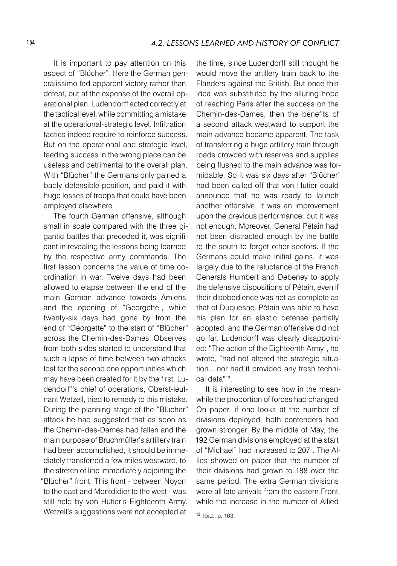It is important to pay attention on this aspect of "Blücher". Here the German generalissimo fed apparent victory rather than defeat, but at the expense of the overall operational plan. Ludendorff acted correctly at the tactical level, while committing a mistake at the operational-strategic level. Infiltration tactics indeed require to reinforce success. But on the operational and strategic level, feeding success in the wrong place can be useless and detrimental to the overall plan. With "Blücher" the Germans only gained a badly defensible position, and paid it with huge losses of troops that could have been employed elsewhere.

 The fourth German offensive, although small in scale compared with the three gigantic battles that preceded it, was significant in revealing the lessons being learned by the respective army commands. The first lesson concerns the value of time coordination in war. Twelve days had been allowed to elapse between the end of the main German advance towards Amiens and the opening of "Georgette", while twenty-six days had gone by from the end of "Georgette" to the start of "Blücher" across the Chemin-des-Dames. Observes from both sides started to understand that such a lapse of time between two attacks lost for the second one opportunities which may have been created for it by the first. Ludendorff's chief of operations, Oberst-leutnant Wetzell, tried to remedy to this mistake. During the planning stage of the "Blücher" attack he had suggested that as soon as the Chemin-des-Dames had fallen and the main purpose of Bruchmüller's artillery train had been accomplished, it should be immediately transferred a few miles westward, to the stretch of line immediately adjoining the "Blücher" front. This front - between Noyon to the east and Montdidier to the west - was still held by von Hutier's Eighteenth Army. Wetzell's suggestions were not accepted at

the time, since Ludendorff still thought he would move the artillery train back to the Flanders against the British. But once this idea was substituted by the alluring hope of reaching Paris after the success on the Chemin-des-Dames, then the benefits of a second attack westward to support the main advance became apparent. The task of transferring a huge artillery train through roads crowded with reserves and supplies being flushed to the main advance was formidable. So it was six days after "Blücher" had been called off that von Hutier could announce that he was ready to launch another offensive. It was an improvement upon the previous performance, but it was not enough. Moreover, General Pétain had not been distracted enough by the battle to the south to forget other sectors. If the Germans could make initial gains, it was largely due to the reluctance of the French Generals Humbert and Debeney to apply the defensive dispositions of Pétain, even if their disobedience was not as complete as that of Duquesne. Pétain was able to have his plan for an elastic defense partially adopted, and the German offensive did not go far. Ludendorff was clearly disappointed: "The action of the Eighteenth Army", he wrote, "had not altered the strategic situation... nor had it provided any fresh technical data"13.

 It is interesting to see how in the meanwhile the proportion of forces had changed. On paper, if one looks at the number of divisions deployed, both contenders had grown stronger. By the middle of May, the 192 German divisions employed at the start of "Michael" had increased to 207 . The Allies showed on paper that the number of their divisions had grown to 188 over the same period. The extra German divisions were all late arrivals from the eastern Front, while the increase in the number of Allied

<sup>13</sup> Ibid., p. 163.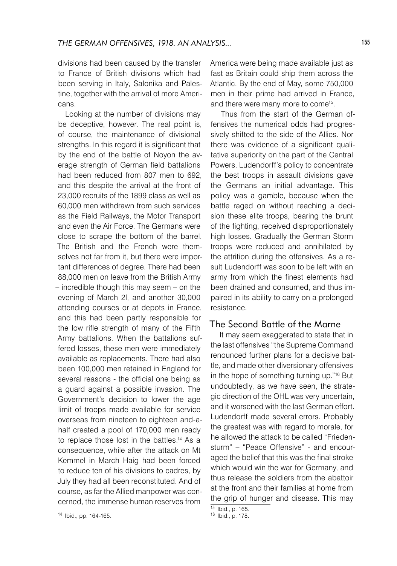divisions had been caused by the transfer to France of British divisions which had been serving in Italy, Salonika and Palestine, together with the arrival of more Americans.

Looking at the number of divisions may be deceptive, however. The real point is, of course, the maintenance of divisional strengths. In this regard it is significant that by the end of the battle of Noyon the average strength of German field battalions had been reduced from 807 men to 692, and this despite the arrival at the front of 23,000 recruits of the 1899 class as well as 60,000 men withdrawn from such services as the Field Railways, the Motor Transport and even the Air Force. The Germans were close to scrape the bottom of the barrel. The British and the French were themselves not far from it, but there were important differences of degree. There had been 88,000 men on leave from the British Army – incredible though this may seem – on the evening of March 2l, and another 30,000 attending courses or at depots in France, and this had been partly responsible for the low rifle strength of many of the Fifth Army battalions. When the battalions suffered losses, these men were immediately available as replacements. There had also been 100,000 men retained in England for several reasons - the official one being as a guard against a possible invasion. The Government's decision to lower the age limit of troops made available for service overseas from nineteen to eighteen and-ahalf created a pool of 170,000 men ready to replace those lost in the battles.<sup>14</sup> As a consequence, while after the attack on Mt Kemmel in March Haig had been forced to reduce ten of his divisions to cadres, by July they had all been reconstituted. And of course, as far the Allied manpower was concerned, the immense human reserves from

<sup>14</sup> Ibid., pp. 164-165.

America were being made available just as fast as Britain could ship them across the Atlantic. By the end of May, some 750,000 men in their prime had arrived in France, and there were many more to come<sup>15</sup>.

 Thus from the start of the German offensives the numerical odds had progressively shifted to the side of the Allies. Nor there was evidence of a significant qualitative superiority on the part of the Central Powers. Ludendorff's policy to concentrate the best troops in assault divisions gave the Germans an initial advantage. This policy was a gamble, because when the battle raged on without reaching a decision these elite troops, bearing the brunt of the fighting, received disproportionately high losses. Gradually the German Storm troops were reduced and annihilated by the attrition during the offensives. As a result Ludendorff was soon to be left with an army from which the finest elements had been drained and consumed, and thus impaired in its ability to carry on a prolonged resistance.

#### The Second Battle of the Marne

 It may seem exaggerated to state that in the last offensives "the Supreme Command renounced further plans for a decisive battle, and made other diversionary offensives in the hope of something turning up."16 But undoubtedly, as we have seen, the strategic direction of the OHL was very uncertain, and it worsened with the last German effort. Ludendorff made several errors. Probably the greatest was with regard to morale, for he allowed the attack to be called "Friedensturm" – "Peace Offensive" - and encouraged the belief that this was the final stroke which would win the war for Germany, and thus release the soldiers from the abattoir at the front and their families at home from the grip of hunger and disease. This may

 $15$  Ibid., p. 165.

<sup>16</sup> Ibid., p. 178.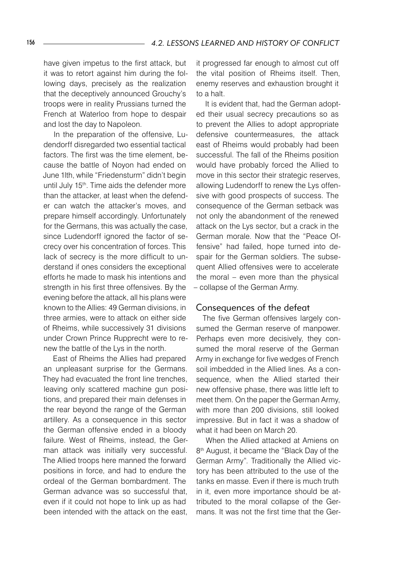have given impetus to the first attack, but it was to retort against him during the following days, precisely as the realization that the deceptively announced Grouchy's troops were in reality Prussians turned the French at Waterloo from hope to despair and lost the day to Napoleon.

 In the preparation of the offensive, Ludendorff disregarded two essential tactical factors. The first was the time element, because the battle of Noyon had ended on June 1lth, while "Friedensturm" didn't begin until July 15<sup>th</sup>. Time aids the defender more than the attacker, at least when the defender can watch the attacker's moves, and prepare himself accordingly. Unfortunately for the Germans, this was actually the case, since Ludendorff ignored the factor of secrecy over his concentration of forces. This lack of secrecy is the more difficult to understand if ones considers the exceptional efforts he made to mask his intentions and strength in his first three offensives. By the evening before the attack, all his plans were known to the Allies: 49 German divisions, in three armies, were to attack on either side of Rheims, while successively 31 divisions under Crown Prince Rupprecht were to renew the battle of the Lys in the north.

 East of Rheims the Allies had prepared an unpleasant surprise for the Germans. They had evacuated the front line trenches, leaving only scattered machine gun positions, and prepared their main defenses in the rear beyond the range of the German artillery. As a consequence in this sector the German offensive ended in a bloody failure. West of Rheims, instead, the German attack was initially very successful. The Allied troops here manned the forward positions in force, and had to endure the ordeal of the German bombardment. The German advance was so successful that, even if it could not hope to link up as had been intended with the attack on the east,

it progressed far enough to almost cut off the vital position of Rheims itself. Then, enemy reserves and exhaustion brought it to a halt.

 It is evident that, had the German adopted their usual secrecy precautions so as to prevent the Allies to adopt appropriate defensive countermeasures, the attack east of Rheims would probably had been successful. The fall of the Rheims position would have probably forced the Allied to move in this sector their strategic reserves, allowing Ludendorff to renew the Lys offensive with good prospects of success. The consequence of the German setback was not only the abandonment of the renewed attack on the Lys sector, but a crack in the German morale. Now that the "Peace Offensive" had failed, hope turned into despair for the German soldiers. The subsequent Allied offensives were to accelerate the moral – even more than the physical – collapse of the German Army.

#### Consequences of the defeat

The five German offensives largely consumed the German reserve of manpower. Perhaps even more decisively, they consumed the moral reserve of the German Army in exchange for five wedges of French soil imbedded in the Allied lines. As a consequence, when the Allied started their new offensive phase, there was little left to meet them. On the paper the German Army, with more than 200 divisions, still looked impressive. But in fact it was a shadow of what it had been on March 20.

 When the Allied attacked at Amiens on 8<sup>th</sup> August, it became the "Black Day of the German Army". Traditionally the Allied victory has been attributed to the use of the tanks en masse. Even if there is much truth in it, even more importance should be attributed to the moral collapse of the Germans. It was not the first time that the Ger-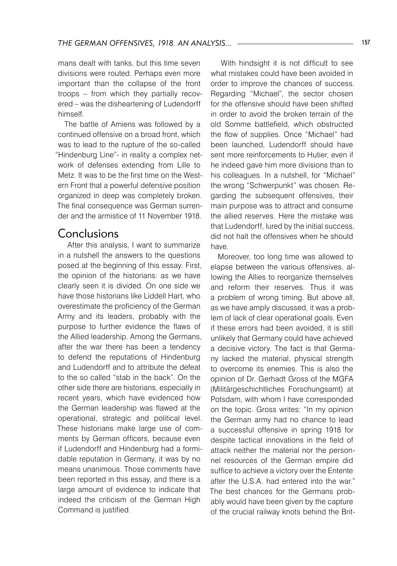mans dealt with tanks, but this time seven divisions were routed. Perhaps even more important than the collapse of the front troops – from which they partially recovered – was the disheartening of Ludendorff himself.

The battle of Amiens was followed by a continued offensive on a broad front, which was to lead to the rupture of the so-called "Hindenburg Line"- in reality a complex network of defenses extending from Lille to Metz. It was to be the first time on the Western Front that a powerful defensive position organized in deep was completely broken. The final consequence was German surrender and the armistice of 11 November 1918.

### Conclusions

 After this analysis, I want to summarize in a nutshell the answers to the questions posed at the beginning of this essay. First, the opinion of the historians: as we have clearly seen it is divided. On one side we have those historians like Liddell Hart, who overestimate the proficiency of the German Army and its leaders, probably with the purpose to further evidence the flaws of the Allied leadership. Among the Germans, after the war there has been a tendency to defend the reputations of Hindenburg and Ludendorff and to attribute the defeat to the so called "stab in the back". On the other side there are historians, especially in recent years, which have evidenced how the German leadership was flawed at the operational, strategic and political level. These historians make large use of comments by German officers, because even if Ludendorff and Hindenburg had a formidable reputation in Germany, it was by no means unanimous. Those comments have been reported in this essay, and there is a large amount of evidence to indicate that indeed the criticism of the German High Command is justified.

 With hindsight it is not difficult to see what mistakes could have been avoided in order to improve the chances of success. Regarding "Michael", the sector chosen for the offensive should have been shifted in order to avoid the broken terrain of the old Somme battlefield, which obstructed the flow of supplies. Once "Michael" had been launched, Ludendorff should have sent more reinforcements to Hutier, even if he indeed gave him more divisions than to his colleagues. In a nutshell, for "Michael" the wrong "Schwerpunkt" was chosen. Regarding the subsequent offensives, their main purpose was to attract and consume the allied reserves. Here the mistake was that Ludendorff, lured by the initial success, did not halt the offensives when he should have.

Moreover, too long time was allowed to elapse between the various offensives, allowing the Allies to reorganize themselves and reform their reserves. Thus it was a problem of wrong timing. But above all, as we have amply discussed, it was a problem of lack of clear operational goals. Even if these errors had been avoided, it is still unlikely that Germany could have achieved a decisive victory. The fact is that Germany lacked the material, physical strength to overcome its enemies. This is also the opinion of Dr. Gerhadt Gross of the MGFA (Militärgeschichtliches Forschungsamt) at Potsdam, with whom I have corresponded on the topic. Gross writes: "In my opinion the German army had no chance to lead a successful offensive in spring 1918 for despite tactical innovations in the field of attack neither the material nor the personnel resources of the German empire did suffice to achieve a victory over the Entente after the U.S.A. had entered into the war." The best chances for the Germans probably would have been given by the capture of the crucial railway knots behind the Brit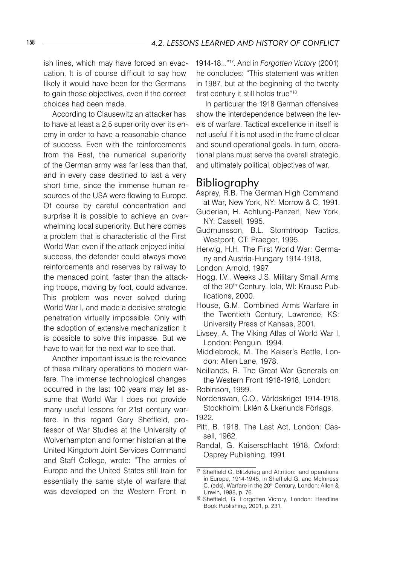ish lines, which may have forced an evacuation. It is of course difficult to say how likely it would have been for the Germans to gain those objectives, even if the correct choices had been made.

 According to Clausewitz an attacker has to have at least a 2,5 superiority over its enemy in order to have a reasonable chance of success. Even with the reinforcements from the East, the numerical superiority of the German army was far less than that, and in every case destined to last a very short time, since the immense human resources of the USA were flowing to Europe. Of course by careful concentration and surprise it is possible to achieve an overwhelming local superiority. But here comes a problem that is characteristic of the First World War: even if the attack enjoyed initial success, the defender could always move reinforcements and reserves by railway to the menaced point, faster than the attacking troops, moving by foot, could advance. This problem was never solved during World War I, and made a decisive strategic penetration virtually impossible. Only with the adoption of extensive mechanization it is possible to solve this impasse. But we have to wait for the next war to see that.

 Another important issue is the relevance of these military operations to modern warfare. The immense technological changes occurred in the last 100 years may let assume that World War I does not provide many useful lessons for 21st century warfare. In this regard Gary Sheffield, professor of War Studies at the University of Wolverhampton and former historian at the United Kingdom Joint Services Command and Staff College, wrote: "The armies of Europe and the United States still train for essentially the same style of warfare that was developed on the Western Front in

1914-18..."17. And in *Forgotten Victory* (2001) he concludes: "This statement was written in 1987, but at the beginning of the twenty first century it still holds true"18.

 In particular the 1918 German offensives show the interdependence between the levels of warfare. Tactical excellence in itself is not useful if it is not used in the frame of clear and sound operational goals. In turn, operational plans must serve the overall strategic, and ultimately political, objectives of war.

## Bibliography

- Asprey, R.B. The German High Command at War, New York, NY: Morrow & C, 1991.
- Guderian, H. Achtung-Panzer!, New York, NY: Cassell, 1995.
- Gudmunsson, B.L. Stormtroop Tactics, Westport, CT: Praeger, 1995.

Herwig, H.H. The First World War: Germany and Austria-Hungary 1914-1918,

- London: Arnold, 1997.
- Hogg, I.V., Weeks J.S. Military Small Arms of the 20<sup>th</sup> Century, Iola, WI: Krause Publications, 2000.
- House, G.M. Combined Arms Warfare in the Twentieth Century, Lawrence, KS: University Press of Kansas, 2001.
- Livsey, A. The Viking Atlas of World War I, London: Penguin, 1994.
- Middlebrook, M. The Kaiser's Battle, London: Allen Lane, 1978.

Neillands, R. The Great War Generals on the Western Front 1918-1918, London: Robinson, 1999.

Nordensvan, C.O., Världskriget 1914-1918, Stockholm: Ĺklén & Ĺkerlunds Förlags, 1922.

- Pitt, B. 1918. The Last Act, London: Cassell, 1962.
- Randal, G. Kaiserschlacht 1918, Oxford: Osprey Publishing, 1991.

<sup>17</sup> Sheffield G. Blitzkrieg and Attrition: land operations in Europe, 1914-1945, in Sheffield G. and McInness C. (eds), Warfare in the 20<sup>th</sup> Century, London: Allen & Unwin, 1988, p. 76.

<sup>18</sup> Sheffield, G. Forgotten Victory, London: Headline Book Publishing, 2001, p. 231.